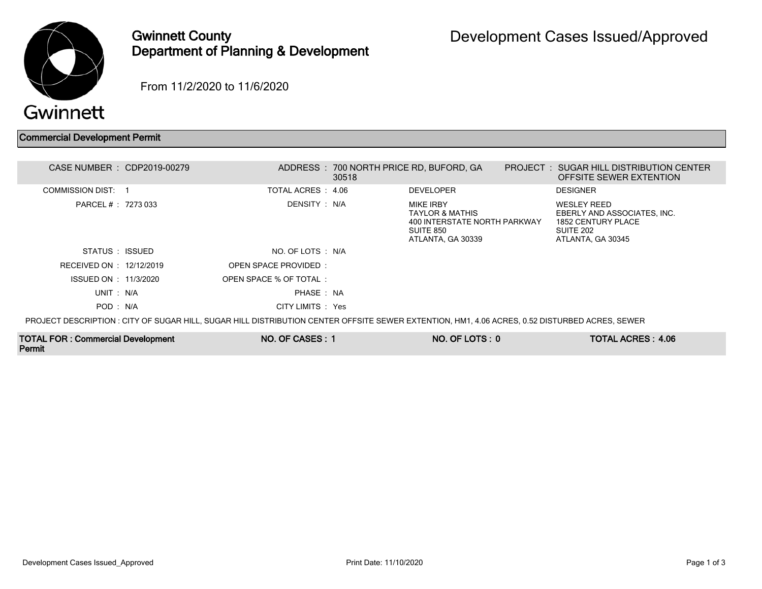

## Gwinnett County Department of Planning & Development

From 11/2/2020 to 11/6/2020

## Commercial Development Permit

| CASE NUMBER : CDP2019-00279                                                                                                                    |  |                       | 30518 | ADDRESS : 700 NORTH PRICE RD, BUFORD, GA                                                                         |  | <b>PROJECT : SUGAR HILL DISTRIBUTION CENTER</b><br>OFFSITE SEWER EXTENTION                                |  |  |
|------------------------------------------------------------------------------------------------------------------------------------------------|--|-----------------------|-------|------------------------------------------------------------------------------------------------------------------|--|-----------------------------------------------------------------------------------------------------------|--|--|
| COMMISSION DIST 1                                                                                                                              |  | TOTAL ACRES : 4.06    |       | <b>DEVELOPER</b>                                                                                                 |  | <b>DESIGNER</b>                                                                                           |  |  |
| PARCEL # : 7273 033                                                                                                                            |  | DENSITY : N/A         |       | <b>MIKE IRBY</b><br><b>TAYLOR &amp; MATHIS</b><br>400 INTERSTATE NORTH PARKWAY<br>SUITE 850<br>ATLANTA, GA 30339 |  | <b>WESLEY REED</b><br>EBERLY AND ASSOCIATES, INC.<br>1852 CENTURY PLACE<br>SUITE 202<br>ATLANTA, GA 30345 |  |  |
| STATUS : ISSUED                                                                                                                                |  | NO. OF LOTS : N/A     |       |                                                                                                                  |  |                                                                                                           |  |  |
| RECEIVED ON : 12/12/2019                                                                                                                       |  | OPEN SPACE PROVIDED:  |       |                                                                                                                  |  |                                                                                                           |  |  |
| ISSUED ON : 11/3/2020                                                                                                                          |  | OPEN SPACE % OF TOTAL |       |                                                                                                                  |  |                                                                                                           |  |  |
| UNIT: N/A                                                                                                                                      |  | PHASE: NA             |       |                                                                                                                  |  |                                                                                                           |  |  |
| POD: N/A                                                                                                                                       |  | CITY LIMITS : Yes     |       |                                                                                                                  |  |                                                                                                           |  |  |
| PROJECT DESCRIPTION : CITY OF SUGAR HILL, SUGAR HILL DISTRIBUTION CENTER OFFSITE SEWER EXTENTION, HM1, 4.06 ACRES, 0.52 DISTURBED ACRES, SEWER |  |                       |       |                                                                                                                  |  |                                                                                                           |  |  |

TOTAL FOR : Commercial Development Permit

NO. OF CASES : 1 NO. OF LOTS : 0 TOTAL ACRES : 4.06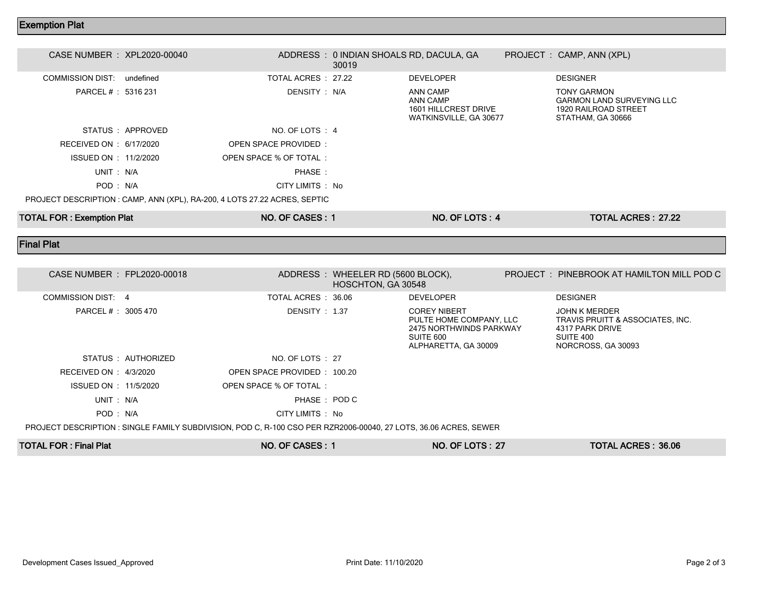## Exemption Plat

| CASE NUMBER : XPL2020-00040                                               |                   |                        | ADDRESS: 0 INDIAN SHOALS RD, DACULA, GA<br>30019 |                                                                        |  | PROJECT : CAMP, ANN (XPL)                                                                           |  |  |
|---------------------------------------------------------------------------|-------------------|------------------------|--------------------------------------------------|------------------------------------------------------------------------|--|-----------------------------------------------------------------------------------------------------|--|--|
| COMMISSION DIST: undefined                                                |                   | TOTAL ACRES 27.22      |                                                  | <b>DEVELOPER</b>                                                       |  | <b>DESIGNER</b>                                                                                     |  |  |
| PARCEL # : 5316 231                                                       |                   | DENSITY : N/A          |                                                  | ANN CAMP<br>ANN CAMP<br>1601 HILLCREST DRIVE<br>WATKINSVILLE, GA 30677 |  | <b>TONY GARMON</b><br><b>GARMON LAND SURVEYING LLC</b><br>1920 RAILROAD STREET<br>STATHAM, GA 30666 |  |  |
|                                                                           | STATUS : APPROVED | NO. OF LOTS : 4        |                                                  |                                                                        |  |                                                                                                     |  |  |
| RECEIVED ON : 6/17/2020                                                   |                   | OPEN SPACE PROVIDED:   |                                                  |                                                                        |  |                                                                                                     |  |  |
| ISSUED ON : 11/2/2020                                                     |                   | OPEN SPACE % OF TOTAL: |                                                  |                                                                        |  |                                                                                                     |  |  |
| UNIT: N/A                                                                 |                   | PHASE:                 |                                                  |                                                                        |  |                                                                                                     |  |  |
| POD : N/A                                                                 |                   | CITY LIMITS : No       |                                                  |                                                                        |  |                                                                                                     |  |  |
| PROJECT DESCRIPTION : CAMP, ANN (XPL), RA-200, 4 LOTS 27.22 ACRES, SEPTIC |                   |                        |                                                  |                                                                        |  |                                                                                                     |  |  |
| <b>TOTAL FOR: Exemption Plat</b>                                          |                   | NO. OF CASES: 1        |                                                  | NO. OF LOTS: 4                                                         |  | TOTAL ACRES: 27.22                                                                                  |  |  |

Final Plat

| CASE NUMBER : FPL2020-00018                                                                                      |                     |                             | ADDRESS : WHEELER RD (5600 BLOCK),<br>HOSCHTON, GA 30548 |                                                                                                                |  | PROJECT: PINEBROOK AT HAMILTON MILL POD C                                                                      |  |  |
|------------------------------------------------------------------------------------------------------------------|---------------------|-----------------------------|----------------------------------------------------------|----------------------------------------------------------------------------------------------------------------|--|----------------------------------------------------------------------------------------------------------------|--|--|
| COMMISSION DIST: 4                                                                                               |                     | TOTAL ACRES : 36.06         |                                                          | <b>DEVELOPER</b>                                                                                               |  | <b>DESIGNER</b>                                                                                                |  |  |
| PARCEL # : 3005 470                                                                                              |                     | DENSITY: 1.37               |                                                          | <b>COREY NIBERT</b><br>PULTE HOME COMPANY, LLC<br>2475 NORTHWINDS PARKWAY<br>SUITE 600<br>ALPHARETTA, GA 30009 |  | <b>JOHN K MERDER</b><br>TRAVIS PRUITT & ASSOCIATES, INC.<br>4317 PARK DRIVE<br>SUITE 400<br>NORCROSS, GA 30093 |  |  |
|                                                                                                                  | STATUS : AUTHORIZED | NO. OF LOTS : 27            |                                                          |                                                                                                                |  |                                                                                                                |  |  |
| RECEIVED ON : $4/3/2020$                                                                                         |                     | OPEN SPACE PROVIDED: 100.20 |                                                          |                                                                                                                |  |                                                                                                                |  |  |
| ISSUED ON : 11/5/2020                                                                                            |                     | OPEN SPACE % OF TOTAL:      |                                                          |                                                                                                                |  |                                                                                                                |  |  |
| UNIT: N/A                                                                                                        |                     | PHASE : POD C               |                                                          |                                                                                                                |  |                                                                                                                |  |  |
| POD: N/A                                                                                                         |                     | CITY LIMITS : No            |                                                          |                                                                                                                |  |                                                                                                                |  |  |
| PROJECT DESCRIPTION : SINGLE FAMILY SUBDIVISION, POD C, R-100 CSO PER RZR2006-00040, 27 LOTS, 36.06 ACRES, SEWER |                     |                             |                                                          |                                                                                                                |  |                                                                                                                |  |  |
| <b>TOTAL FOR: Final Plat</b>                                                                                     |                     | NO. OF CASES: 1             |                                                          | <b>NO. OF LOTS: 27</b>                                                                                         |  | TOTAL ACRES: 36.06                                                                                             |  |  |